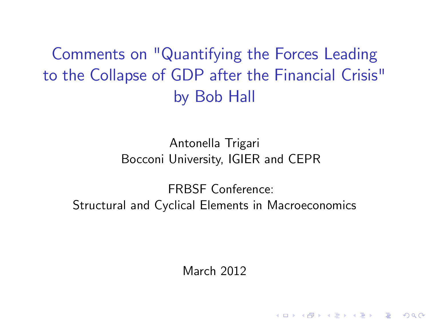Comments on "Quantifying the Forces Leading to the Collapse of GDP after the Financial Crisis" by Bob Hall

> Antonella Trigari Bocconi University, IGIER and CEPR

<span id="page-0-0"></span>FRBSF Conference: Structural and Cyclical Elements in Macroeconomics

March 2012

**KORKA SERKER ORA**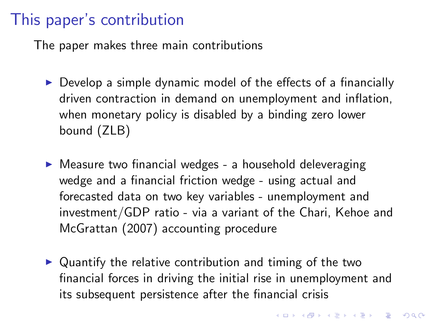### This paper's contribution

The paper makes three main contributions

- $\triangleright$  Develop a simple dynamic model of the effects of a financially driven contraction in demand on unemployment and inflation, when monetary policy is disabled by a binding zero lower bound (ZLB)
- $\triangleright$  Measure two financial wedges a household deleveraging wedge and a financial friction wedge - using actual and forecasted data on two key variables - unemployment and investment/GDP ratio - via a variant of the Chari, Kehoe and McGrattan (2007) accounting procedure
- $\triangleright$  Quantify the relative contribution and timing of the two financial forces in driving the initial rise in unemployment and its subsequent persistence after the financial crisis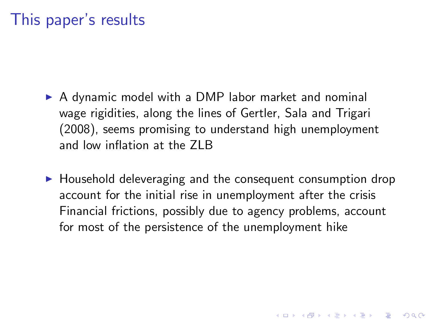### This paper's results

- $\triangleright$  A dynamic model with a DMP labor market and nominal wage rigidities, along the lines of Gertler, Sala and Trigari (2008), seems promising to understand high unemployment and low inflation at the ZLB
- $\blacktriangleright$  Household deleveraging and the consequent consumption drop account for the initial rise in unemployment after the crisis Financial frictions, possibly due to agency problems, account for most of the persistence of the unemployment hike

4 D > 4 P + 4 B + 4 B + B + 9 Q O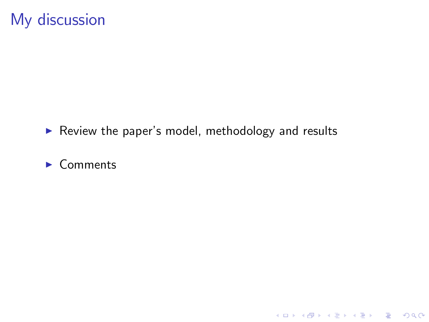## My discussion

 $\blacktriangleright$  Review the paper's model, methodology and results

K ロ ▶ K @ ▶ K 할 ▶ K 할 ▶ | 할 | ⊙Q @

 $\blacktriangleright$  Comments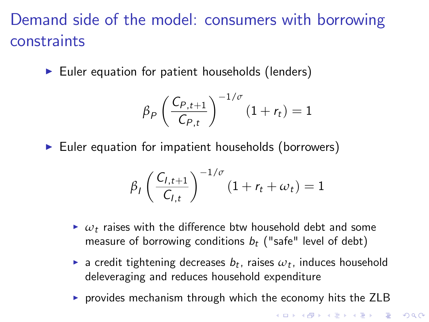# Demand side of the model: consumers with borrowing constraints

 $\blacktriangleright$  Euler equation for patient households (lenders)

$$
\beta_P \left( \frac{C_{P,t+1}}{C_{P,t}} \right)^{-1/\sigma} (1+r_t) = 1
$$

 $\blacktriangleright$  Euler equation for impatient households (borrowers)

$$
\beta_I \left( \frac{C_{I,t+1}}{C_{I,t}} \right)^{-1/\sigma} (1 + r_t + \omega_t) = 1
$$

- $\triangleright$   $\omega_t$  raises with the difference btw household debt and some measure of borrowing conditions  $b_t$  ("safe" level of debt)
- $\blacktriangleright$  a credit tightening decreases  $b_t$ , raises  $\omega_t$ , induces household deleveraging and reduces household expenditure
- $\triangleright$  provides mechanism through which the economy hits the ZLB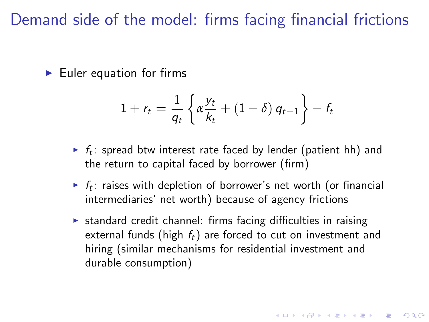Demand side of the model: firms facing financial frictions

 $\blacktriangleright$  Euler equation for firms

$$
1 + r_t = \frac{1}{q_t} \left\{ \alpha \frac{y_t}{k_t} + (1 - \delta) q_{t+1} \right\} - f_t
$$

- $\blacktriangleright$   $f_t$ : spread btw interest rate faced by lender (patient hh) and the return to capital faced by borrower (firm)
- $\blacktriangleright$   $f_t$ : raises with depletion of borrower's net worth (or financial intermediaries' net worth) because of agency frictions
- $\triangleright$  standard credit channel: firms facing difficulties in raising external funds (high  $f_t$ ) are forced to cut on investment and hiring (similar mechanisms for residential investment and durable consumption)

KID KA KERKER KID KO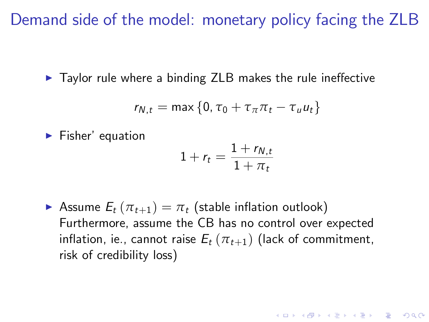Demand side of the model: monetary policy facing the ZLB

▶ Taylor rule where a binding ZLB makes the rule ineffective

$$
r_{N,t} = \max\left\{0, \tau_0 + \tau_\pi \pi_t - \tau_u u_t\right\}
$$

 $\blacktriangleright$  Fisher' equation

$$
1+r_t=\frac{1+r_{N,t}}{1+\pi_t}
$$

**KORKAR KERKER EL VOLO** 

Assume  $E_t(\pi_{t+1}) = \pi_t$  (stable inflation outlook) Furthermore, assume the CB has no control over expected inflation, ie., cannot raise  $E_t$  ( $\pi_{t+1}$ ) (lack of commitment, risk of credibility loss)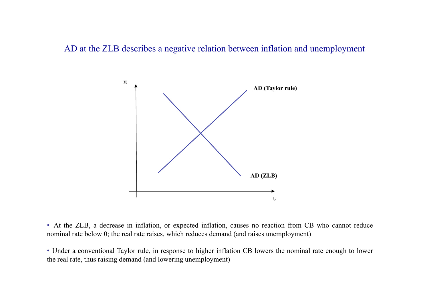AD at the ZLB describes a negative relation between inflation and unemployment



• At the ZLB, a decrease in inflation, or expected inflation, causes no reaction from CB who cannot reduce nominal rate below 0; the real rate raises, which reduces demand (and raises unemployment)

• Under a conventional Taylor rule, in response to higher inflation CB lowers the nominal rate enough to lower the real rate, thus raising demand (and lowering unemployment)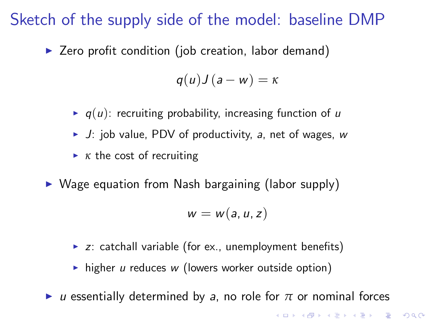## Sketch of the supply side of the model: baseline DMP

 $\triangleright$  Zero profit condition (job creation, labor demand)

 $q(u)J(a-w) = \kappa$ 

- $\blacktriangleright$  q(u): recruiting probability, increasing function of u
- $\blacktriangleright$  J: job value, PDV of productivity, a, net of wages, w
- $\triangleright$  *κ* the cost of recruiting
- $\triangleright$  Wage equation from Nash bargaining (labor supply)

$$
w=w(a,u,z)
$$

- $\triangleright$  z: catchall variable (for ex., unemployment benefits)
- ightharpoonup higher u reduces w (lowers worker outside option)
- $\triangleright$  u essentially determined by a, no role for  $\pi$  or nominal forces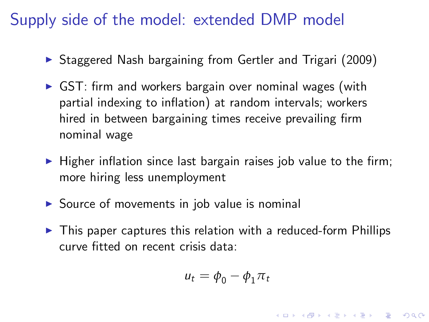Supply side of the model: extended DMP model

- ▶ Staggered Nash bargaining from Gertler and Trigari (2009)
- $\triangleright$  GST: firm and workers bargain over nominal wages (with partial indexing to inflation) at random intervals; workers hired in between bargaining times receive prevailing firm nominal wage
- $\blacktriangleright$  Higher inflation since last bargain raises job value to the firm; more hiring less unemployment
- $\triangleright$  Source of movements in job value is nominal
- $\triangleright$  This paper captures this relation with a reduced-form Phillips curve fitted on recent crisis data:

$$
u_t = \phi_0 - \phi_1 \pi_t
$$

4 D > 4 P + 4 B + 4 B + B + 9 Q O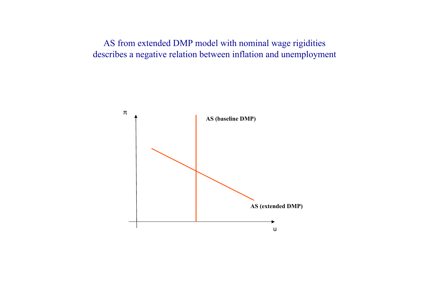AS from extended DMP model with nominal wage rigidities describes a negative relation between inflation and unemployment

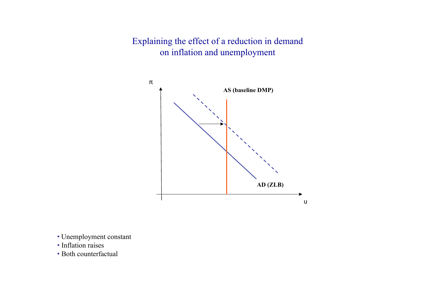Explaining the effect of a reduction in demand on inflation and unemployment



- Unemployment constant
- Inflation raises
- Both counterfactual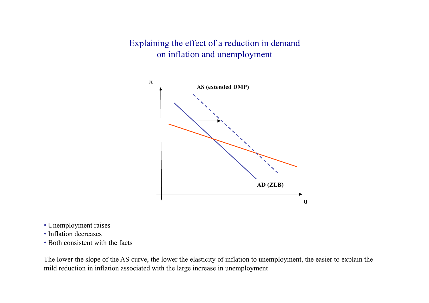Explaining the effect of a reduction in demand on inflation and unemployment



- Unemployment raises
- Inflation decreases
- Both consistent with the facts

The lower the slope of the AS curve, the lower the elasticity of inflation to unemployment, the easier to explain the mild reduction in inflation associated with the large increase in unemployment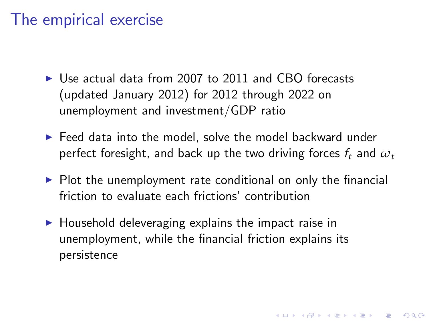### The empirical exercise

- $\triangleright$  Use actual data from 2007 to 2011 and CBO forecasts (updated January 2012) for 2012 through 2022 on unemployment and investment/GDP ratio
- $\blacktriangleright$  Feed data into the model, solve the model backward under perfect foresight, and back up the two driving forces  $f_t$  and  $\omega_t$
- $\triangleright$  Plot the unemployment rate conditional on only the financial friction to evaluate each frictions' contribution

4 D > 4 P + 4 B + 4 B + B + 9 Q O

<span id="page-13-0"></span> $\blacktriangleright$  Household deleveraging explains the impact raise in unemployment, while the financial friction explains its persistence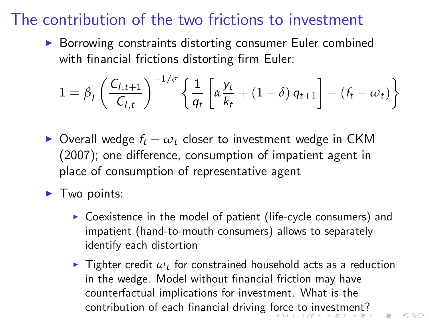## The contribution of the two frictions to investment

▶ Borrowing constraints distorting consumer Euler combined with financial frictions distorting firm Euler:

$$
1 = \beta_I \left( \frac{C_{I,t+1}}{C_{I,t}} \right)^{-1/\sigma} \left\{ \frac{1}{q_t} \left[ \alpha \frac{y_t}{k_t} + (1-\delta) q_{t+1} \right] - (f_t - \omega_t) \right\}
$$

- $\triangleright$  Overall wedge  $f_t \omega_t$  closer to investment wedge in CKM (2007); one difference, consumption of impatient agent in place of consumption of representative agent
- <span id="page-14-0"></span> $\blacktriangleright$  Two points:
	- $\triangleright$  Coexistence in the model of patient (life-cycle consumers) and impatient (hand-to-mouth consumers) allows to separately identify each distortion
	- $\blacktriangleright$  Tighter credit  $\omega_t$  for constrained household acts as a reduction in the wedge. Model without financial friction may have counterfactual implications for investment. What is the contribution of each financial driving [for](#page-13-0)c[e](#page--1-0) [to](#page-13-0) [i](#page-14-0)[nv](#page--1-0)[es](#page-0-0)[tm](#page-19-0)[ent](#page-0-0)[?](#page-19-0)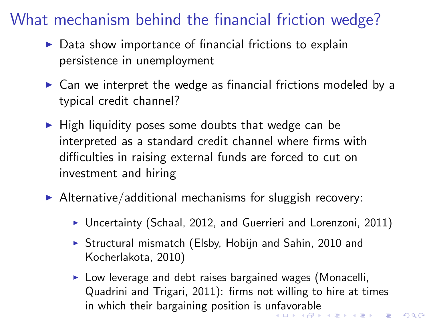# What mechanism behind the financial friction wedge?

- $\triangleright$  Data show importance of financial frictions to explain persistence in unemployment
- $\triangleright$  Can we interpret the wedge as financial frictions modeled by a typical credit channel?
- $\blacktriangleright$  High liquidity poses some doubts that wedge can be interpreted as a standard credit channel where firms with difficulties in raising external funds are forced to cut on investment and hiring
- $\blacktriangleright$  Alternative/additional mechanisms for sluggish recovery:
	- $\triangleright$  Uncertainty (Schaal, 2012, and Guerrieri and Lorenzoni, 2011)
	- $\triangleright$  Structural mismatch (Elsby, Hobijn and Sahin, 2010 and Kocherlakota, 2010)
	- $\triangleright$  Low leverage and debt raises bargained wages (Monacelli, Quadrini and Trigari, 2011): firms not willing to hire at times in which their bargaining position is u[nfa](#page-14-0)[vo](#page-16-0)[ra](#page-14-0)[bl](#page--1-0)[e](#page-16-0)<br>All the services of the services on the service of the service of the service of the service of the service of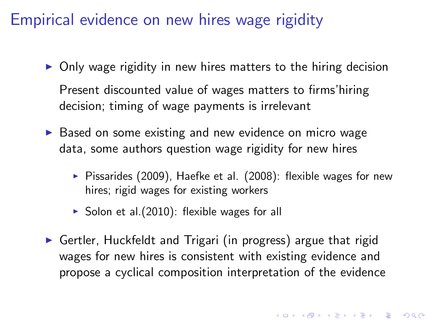## Empirical evidence on new hires wage rigidity

- $\triangleright$  Only wage rigidity in new hires matters to the hiring decision Present discounted value of wages matters to firms'hiring decision; timing of wage payments is irrelevant
- ▶ Based on some existing and new evidence on micro wage data, some authors question wage rigidity for new hires
	- $\triangleright$  Pissarides (2009), Haefke et al. (2008): flexible wages for new hires; rigid wages for existing workers
	- $\triangleright$  Solon et al. (2010): flexible wages for all
- <span id="page-16-0"></span> $\triangleright$  Gertler, Huckfeldt and Trigari (in progress) argue that rigid wages for new hires is consistent with existing evidence and propose a cyclical composition interpretation of the evidence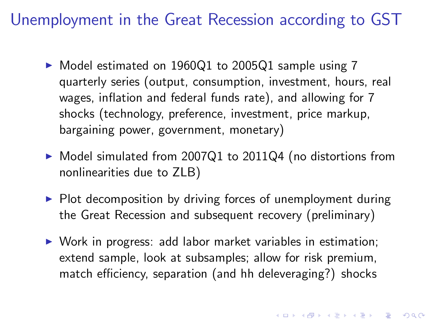Unemployment in the Great Recession according to GST

- $\triangleright$  Model estimated on 1960Q1 to 2005Q1 sample using 7 quarterly series (output, consumption, investment, hours, real wages, inflation and federal funds rate), and allowing for 7 shocks (technology, preference, investment, price markup, bargaining power, government, monetary)
- ▶ Model simulated from 2007Q1 to 2011Q4 (no distortions from nonlinearities due to ZLB)
- $\triangleright$  Plot decomposition by driving forces of unemployment during the Great Recession and subsequent recovery (preliminary)
- $\triangleright$  Work in progress: add labor market variables in estimation; extend sample, look at subsamples; allow for risk premium, match efficiency, separation (and hh deleveraging?) shocks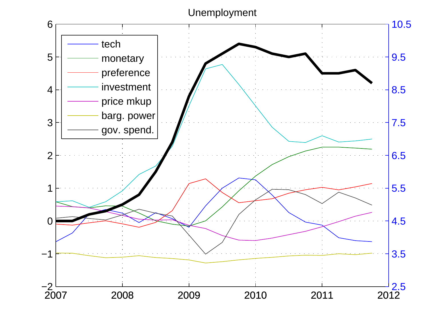Unemployment